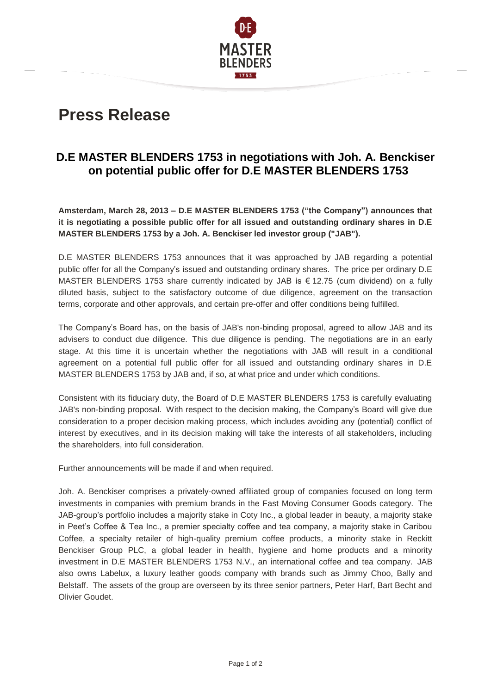

## **Press Release**

## **D.E MASTER BLENDERS 1753 in negotiations with Joh. A. Benckiser on potential public offer for D.E MASTER BLENDERS 1753**

**Amsterdam, March 28, 2013 – D.E MASTER BLENDERS 1753 ("the Company") announces that it is negotiating a possible public offer for all issued and outstanding ordinary shares in D.E MASTER BLENDERS 1753 by a Joh. A. Benckiser led investor group ("JAB").**

D.E MASTER BLENDERS 1753 announces that it was approached by JAB regarding a potential public offer for all the Company's issued and outstanding ordinary shares. The price per ordinary D.E MASTER BLENDERS 1753 share currently indicated by JAB is € 12.75 (cum dividend) on a fully diluted basis, subject to the satisfactory outcome of due diligence, agreement on the transaction terms, corporate and other approvals, and certain pre-offer and offer conditions being fulfilled.

The Company's Board has, on the basis of JAB's non-binding proposal, agreed to allow JAB and its advisers to conduct due diligence. This due diligence is pending. The negotiations are in an early stage. At this time it is uncertain whether the negotiations with JAB will result in a conditional agreement on a potential full public offer for all issued and outstanding ordinary shares in D.E MASTER BLENDERS 1753 by JAB and, if so, at what price and under which conditions.

Consistent with its fiduciary duty, the Board of D.E MASTER BLENDERS 1753 is carefully evaluating JAB's non-binding proposal. With respect to the decision making, the Company's Board will give due consideration to a proper decision making process, which includes avoiding any (potential) conflict of interest by executives, and in its decision making will take the interests of all stakeholders, including the shareholders, into full consideration.

Further announcements will be made if and when required.

Joh. A. Benckiser comprises a privately-owned affiliated group of companies focused on long term investments in companies with premium brands in the Fast Moving Consumer Goods category. The JAB-group's portfolio includes a majority stake in Coty Inc., a global leader in beauty, a majority stake in Peet's Coffee & Tea Inc., a premier specialty coffee and tea company, a majority stake in Caribou Coffee, a specialty retailer of high-quality premium coffee products, a minority stake in Reckitt Benckiser Group PLC, a global leader in health, hygiene and home products and a minority investment in D.E MASTER BLENDERS 1753 N.V., an international coffee and tea company. JAB also owns Labelux, a luxury leather goods company with brands such as Jimmy Choo, Bally and Belstaff. The assets of the group are overseen by its three senior partners, Peter Harf, Bart Becht and Olivier Goudet.